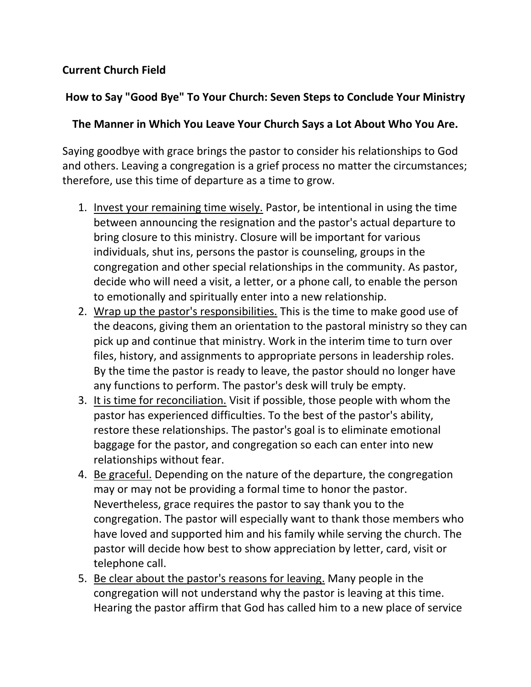## **Current Church Field**

## **How to Say "Good Bye" To Your Church: Seven Steps to Conclude Your Ministry**

## **The Manner in Which You Leave Your Church Says a Lot About Who You Are.**

Saying goodbye with grace brings the pastor to consider his relationships to God and others. Leaving a congregation is a grief process no matter the circumstances; therefore, use this time of departure as a time to grow.

- 1. Invest your remaining time wisely. Pastor, be intentional in using the time between announcing the resignation and the pastor's actual departure to bring closure to this ministry. Closure will be important for various individuals, shut ins, persons the pastor is counseling, groups in the congregation and other special relationships in the community. As pastor, decide who will need a visit, a letter, or a phone call, to enable the person to emotionally and spiritually enter into a new relationship.
- 2. Wrap up the pastor's responsibilities. This is the time to make good use of the deacons, giving them an orientation to the pastoral ministry so they can pick up and continue that ministry. Work in the interim time to turn over files, history, and assignments to appropriate persons in leadership roles. By the time the pastor is ready to leave, the pastor should no longer have any functions to perform. The pastor's desk will truly be empty.
- 3. It is time for reconciliation. Visit if possible, those people with whom the pastor has experienced difficulties. To the best of the pastor's ability, restore these relationships. The pastor's goal is to eliminate emotional baggage for the pastor, and congregation so each can enter into new relationships without fear.
- 4. Be graceful. Depending on the nature of the departure, the congregation may or may not be providing a formal time to honor the pastor. Nevertheless, grace requires the pastor to say thank you to the congregation. The pastor will especially want to thank those members who have loved and supported him and his family while serving the church. The pastor will decide how best to show appreciation by letter, card, visit or telephone call.
- 5. Be clear about the pastor's reasons for leaving. Many people in the congregation will not understand why the pastor is leaving at this time. Hearing the pastor affirm that God has called him to a new place of service